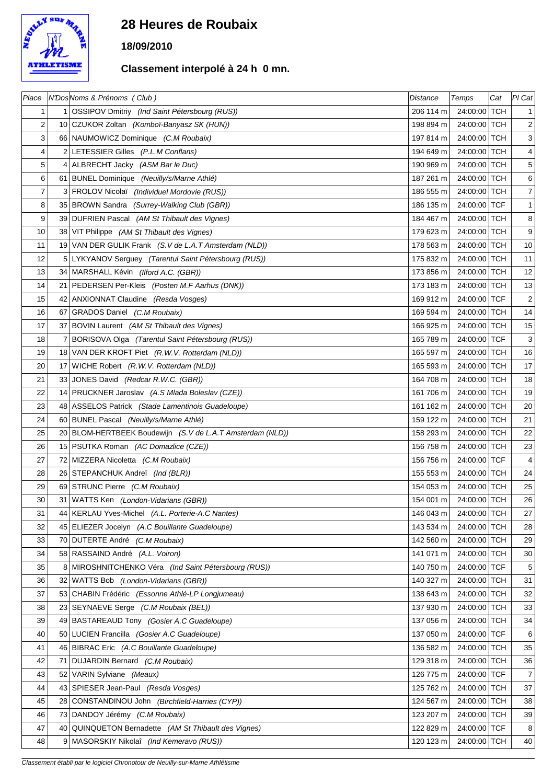

## **28 Heures de Roubaix**

## **18/09/2010**

## **Classement interpolé à 24 h 0 mn.**

| Place |    | N'DosNoms & Prénoms (Club)                                | <b>Distance</b> | Temps        | Cat | PI Cat                    |
|-------|----|-----------------------------------------------------------|-----------------|--------------|-----|---------------------------|
| 1     |    | 1 OSSIPOV Dmitriy (Ind Saint Pétersbourg (RUS))           | 206 114 m       | 24:00:00 TCH |     | $\mathbf{1}$              |
| 2     |    | 10 CZUKOR Zoltan (Komboï-Banyasz SK (HUN))                | 198 894 m       | 24:00:00 TCH |     | $\overline{c}$            |
| 3     |    | 66 NAUMOWICZ Dominique (C.M Roubaix)                      | 197 814 m       | 24:00:00 TCH |     | $\ensuremath{\mathsf{3}}$ |
| 4     |    | 2 LETESSIER Gilles (P.L.M Conflans)                       | 194 649 m       | 24:00:00 TCH |     | $\overline{4}$            |
| 5     |    | 4 ALBRECHT Jacky (ASM Bar le Duc)                         | 190 969 m       | 24:00:00 TCH |     | 5                         |
| 6     |    | 61 BUNEL Dominique (Neuilly/s/Marne Athlé)                | 187 261 m       | 24:00:00 TCH |     | 6                         |
| 7     |    | 3 FROLOV Nicolaï (Individuel Mordovie (RUS))              | 186 555 m       | 24:00:00 TCH |     | $\overline{7}$            |
| 8     |    | 35 BROWN Sandra (Surrey-Walking Club (GBR))               | 186 135 m       | 24:00:00 TCF |     | $\mathbf{1}$              |
| 9     |    | 39 DUFRIEN Pascal (AM St Thibault des Vignes)             | 184 467 m       | 24:00:00 TCH |     | $\bf 8$                   |
| 10    |    | 38 VIT Philippe (AM St Thibault des Vignes)               | 179 623 m       | 24:00:00 TCH |     | $\boldsymbol{9}$          |
| 11    |    | 19 VAN DER GULIK Frank (S.V de L.A.T Amsterdam (NLD))     | 178 563 m       | 24:00:00 TCH |     | $10\,$                    |
| 12    |    | 5 LYKYANOV Serguey (Tarentul Saint Pétersbourg (RUS))     | 175 832 m       | 24:00:00 TCH |     | 11                        |
| 13    |    | 34 MARSHALL Kévin (Ilford A.C. (GBR))                     | 173 856 m       | 24:00:00 TCH |     | 12                        |
| 14    |    | 21 PEDERSEN Per-Kleis (Posten M.F Aarhus (DNK))           | 173 183 m       | 24:00:00 TCH |     | 13                        |
| 15    |    | 42 ANXIONNAT Claudine (Resda Vosges)                      | 169 912 m       | 24:00:00 TCF |     | $\sqrt{2}$                |
| 16    |    | 67 GRADOS Daniel (C.M Roubaix)                            | 169 594 m       | 24:00:00 TCH |     | 14                        |
| 17    |    | 37 BOVIN Laurent (AM St Thibault des Vignes)              | 166 925 m       | 24:00:00 TCH |     | 15                        |
| 18    | 7  | BORISOVA Olga (Tarentul Saint Pétersbourg (RUS))          | 165 789 m       | 24:00:00 TCF |     | $\ensuremath{\mathsf{3}}$ |
| 19    |    | 18 VAN DER KROFT Piet (R.W.V. Rotterdam (NLD))            | 165 597 m       | 24:00:00 TCH |     | 16                        |
| 20    |    | 17 WICHE Robert (R.W.V. Rotterdam (NLD))                  | 165 593 m       | 24:00:00 TCH |     | $17$                      |
| 21    |    | 33 JONES David (Redcar R.W.C. (GBR))                      | 164 708 m       | 24:00:00 TCH |     | 18                        |
| 22    |    | 14 PRUCKNER Jaroslav (A.S Mlada Boleslav (CZE))           | 161 706 m       | 24:00:00 TCH |     | 19                        |
| 23    |    | 48 ASSELOS Patrick (Stade Lamentinois Guadeloupe)         | 161 162 m       | 24:00:00 TCH |     | $20\,$                    |
| 24    |    | 60 BUNEL Pascal (Neuilly/s/Marne Athlé)                   | 159 122 m       | 24:00:00 TCH |     | 21                        |
| 25    |    | 20 BLOM-HERTBEEK Boudewijn (S.V de L.A.T Amsterdam (NLD)) | 158 293 m       | 24:00:00 TCH |     | 22                        |
| 26    |    | 15   PSUTKA Roman (AC Domazlice (CZE))                    | 156 758 m       | 24:00:00 TCH |     | 23                        |
| 27    |    | 72 MIZZERA Nicoletta (C.M Roubaix)                        | 156 756 m       | 24:00:00 TCF |     | 4                         |
| 28    |    | 26 STEPANCHUK Andreï (Ind (BLR))                          | 155 553 m       | 24:00:00 TCH |     | 24                        |
| 29    |    | 69 STRUNC Pierre (C.M Roubaix)                            | 154 053 m       | 24:00:00 TCH |     | 25                        |
| 30    |    | 31 WATTS Ken (London-Vidarians (GBR))                     | 154 001 m       | 24:00:00 TCH |     | 26                        |
| 31    |    | 44   KERLAU Yves-Michel (A.L. Porterie-A.C Nantes)        | 146 043 m       | 24:00:00 TCH |     | 27                        |
| 32    |    | 45 ELIEZER Jocelyn (A.C Bouillante Guadeloupe)            | 143 534 m       | 24:00:00 TCH |     | 28                        |
| 33    | 70 | DUTERTE André (C.M Roubaix)                               | 142 560 m       | 24:00:00 TCH |     | 29                        |
| 34    |    | 58 RASSAIND André (A.L. Voiron)                           | 141 071 m       | 24:00:00 TCH |     | $30\,$                    |
| 35    | 8  | MIROSHNITCHENKO Véra (Ind Saint Pétersbourg (RUS))        | 140 750 m       | 24:00:00 TCF |     | 5                         |
| 36    |    | 32 WATTS Bob (London-Vidarians (GBR))                     | 140 327 m       | 24:00:00 TCH |     | 31                        |
| 37    |    | 53 CHABIN Frédéric (Essonne Athlé-LP Longjumeau)          | 138 643 m       | 24:00:00 TCH |     | 32                        |
| 38    |    | 23 SEYNAEVE Serge (C.M Roubaix (BEL))                     | 137 930 m       | 24:00:00 TCH |     | 33                        |
| 39    |    | 49 BASTAREAUD Tony (Gosier A.C Guadeloupe)                | 137 056 m       | 24:00:00 TCH |     | 34                        |
| 40    |    | 50   LUCIEN Francilla (Gosier A.C Guadeloupe)             | 137 050 m       | 24:00:00 TCF |     | 6                         |
| 41    |    | 46 BIBRAC Eric (A.C Bouillante Guadeloupe)                | 136 582 m       | 24:00:00 TCH |     | 35                        |
| 42    |    | 71 DUJARDIN Bernard (C.M Roubaix)                         | 129 318 m       | 24:00:00 TCH |     | 36                        |
| 43    | 52 | VARIN Sylviane (Meaux)                                    | 126 775 m       | 24:00:00 TCF |     | $\boldsymbol{7}$          |
| 44    |    | 43 SPIESER Jean-Paul (Resda Vosges)                       | 125 762 m       | 24:00:00 TCH |     | 37                        |
| 45    |    | 28 CONSTANDINOU John (Birchfield-Harries (CYP))           | 124 567 m       | 24:00:00 TCH |     | 38                        |
| 46    | 73 | DANDOY Jérémy (C.M Roubaix)                               | 123 207 m       | 24:00:00 TCH |     | 39                        |
| 47    |    | 40 QUINQUETON Bernadette (AM St Thibault des Vignes)      | 122 829 m       | 24:00:00 TCF |     | 8                         |
| 48    | 9  | MASORSKIY Nikolaî (Ind Kemeravo (RUS))                    | 120 123 m       | 24:00:00 TCH |     | 40                        |